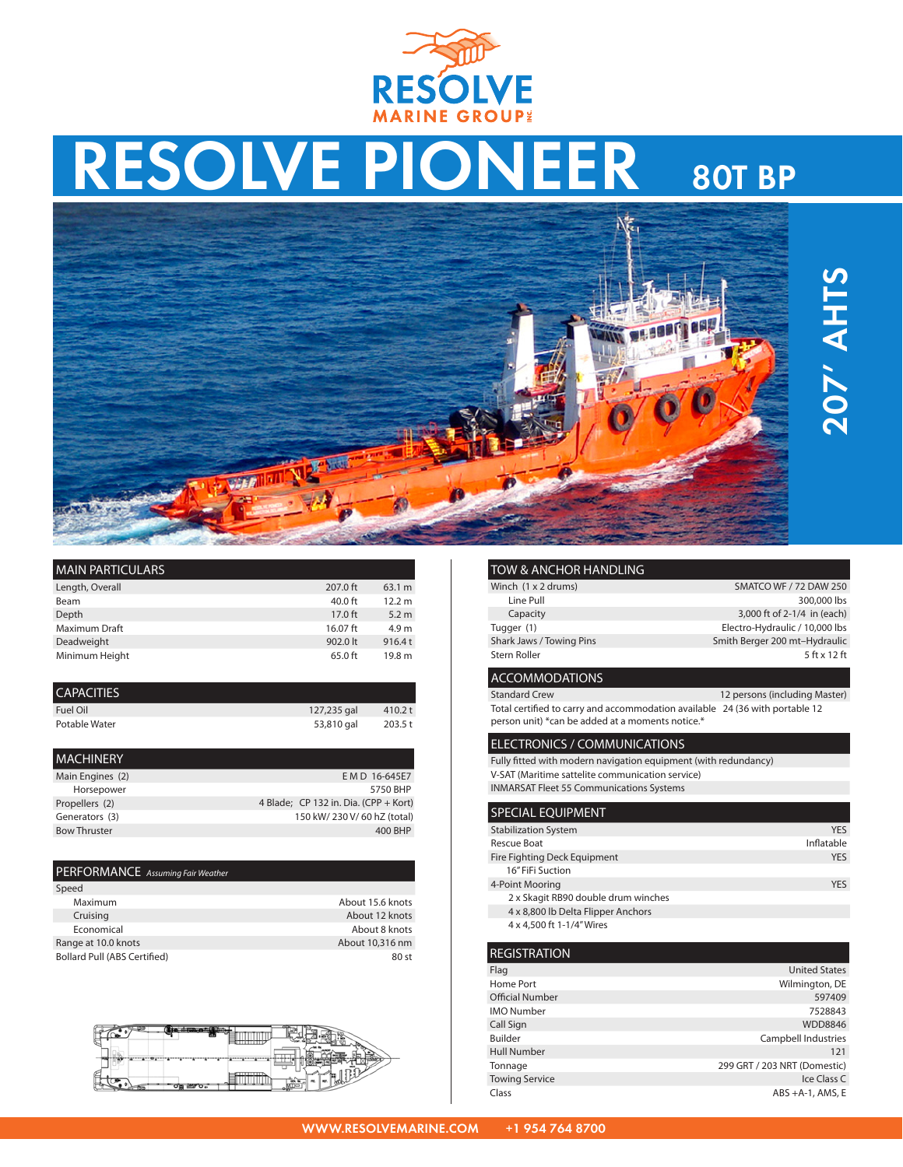

# RESOLVE PIONEER 80T BP



| <b>MAIN PARTICULARS</b> |            |                   |
|-------------------------|------------|-------------------|
| Length, Overall         | 207.0 ft   | 63.1 m            |
| Beam                    | 40.0 ft    | 12.2 <sub>m</sub> |
| Depth                   | $17.0$ ft  | 5.2 <sub>m</sub>  |
| Maximum Draft           | $16.07$ ft | 4.9 m             |
| Deadweight              | 902.0 lt   | 916.4t            |
| Minimum Height          | $65.0$ ft  | 19.8 m            |

| <b>CAPACITIES</b> |             |         |
|-------------------|-------------|---------|
| Fuel Oil          | 127,235 gal | 410.2 t |
| Potable Water     | 53,810 gal  | 203.5t  |

| <b>MACHINERY</b>    |                                       |
|---------------------|---------------------------------------|
| Main Engines (2)    | E M D 16-645E7                        |
| Horsepower          | 5750 BHP                              |
| Propellers (2)      | 4 Blade; CP 132 in. Dia. (CPP + Kort) |
| Generators (3)      | 150 kW/ 230 V/ 60 hZ (total)          |
| <b>Bow Thruster</b> | 400 BHP                               |
|                     |                                       |

| PERFORMANCE Assuming Fair Weather   |                  |
|-------------------------------------|------------------|
| Speed                               |                  |
| Maximum                             | About 15.6 knots |
| Cruising                            | About 12 knots   |
| Economical                          | About 8 knots    |
| Range at 10.0 knots                 | About 10,316 nm  |
| <b>Bollard Pull (ABS Certified)</b> | 80st             |

### TOW & ANCHOR HANDLING

| Winch (1 x 2 drums)      | <b>SMATCO WF / 72 DAW 250</b>  |
|--------------------------|--------------------------------|
| Line Pull                | 300,000 lbs                    |
| Capacity                 | 3,000 ft of 2-1/4 in (each)    |
| Tugger (1)               | Electro-Hydraulic / 10,000 lbs |
| Shark Jaws / Towing Pins | Smith Berger 200 mt-Hydraulic  |
| Stern Roller             | 5 ft x 12 ft                   |

207' AHTS

207' AHTS

## ACCOMMODATIONS

Standard Crew 12 persons (including Master) Total certified to carry and accommodation available 24 (36 with portable 12 person unit) \*can be added at a moments notice.\*

#### ELECTRONICS / COMMUNICATIONS

Fully fitted with modern navigation equipment (with redundancy) V-SAT (Maritime sattelite communication service) INMARSAT Fleet 55 Communications Systems

| <b>SPECIAL EOUIPMENT</b>            |            |
|-------------------------------------|------------|
| <b>Stabilization System</b>         | <b>YES</b> |
| Rescue Boat                         | Inflatable |
| Fire Fighting Deck Equipment        | <b>YES</b> |
| 16" FiFi Suction                    |            |
| 4-Point Mooring                     | YES        |
| 2 x Skagit RB90 double drum winches |            |
| 4 x 8,800 lb Delta Flipper Anchors  |            |
| 4 x 4.500 ft 1-1/4" Wires           |            |

| <b>REGISTRATION</b>    |                              |
|------------------------|------------------------------|
| Flag                   | <b>United States</b>         |
| Home Port              | Wilmington, DE               |
| <b>Official Number</b> | 597409                       |
| <b>IMO Number</b>      | 7528843                      |
| Call Sign              | <b>WDD8846</b>               |
| <b>Builder</b>         | Campbell Industries          |
| <b>Hull Number</b>     | 121                          |
| Tonnage                | 299 GRT / 203 NRT (Domestic) |
| <b>Towing Service</b>  | Ice Class C                  |
| Class                  | $ABS + A-1$ , AMS, E         |
|                        |                              |